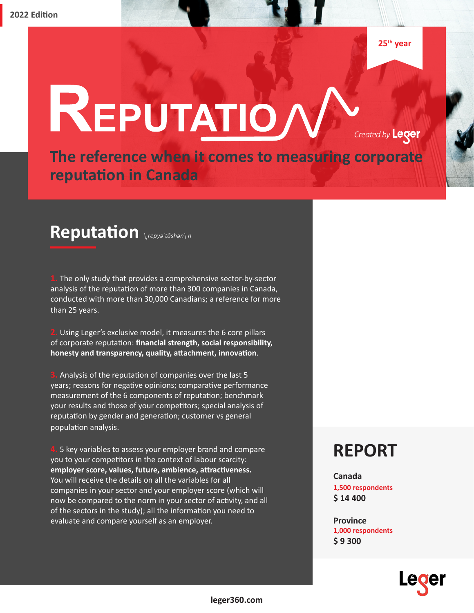# REPUTATIO

*Created by* **Leger** 

**The reference when it comes to measuring corporate reputation in Canada**

## *\ˌrepyəˈtāshən\ n* **Reputation**

**1.** The only study that provides a comprehensive sector-by-sector analysis of the reputation of more than 300 companies in Canada, conducted with more than 30,000 Canadians; a reference for more than 25 years.

**2.** Using Leger's exclusive model, it measures the 6 core pillars of corporate reputation: **financial strength, social responsibility, honesty and transparency, quality, attachment, innovation**.

**3.** Analysis of the reputation of companies over the last 5 years; reasons for negative opinions; comparative performance measurement of the 6 components of reputation; benchmark your results and those of your competitors; special analysis of reputation by gender and generation; customer vs general population analysis.

**4.** 5 key variables to assess your employer brand and compare you to your competitors in the context of labour scarcity: **employer score, values, future, ambience, attractiveness.** You will receive the details on all the variables for all companies in your sector and your employer score (which will now be compared to the norm in your sector of activity, and all of the sectors in the study); all the information you need to evaluate and compare yourself as an employer.

#### **REPORT**

**Canada 1,500 respondents \$ 14 400**

**Province 1,000 respondents \$ 9 300**